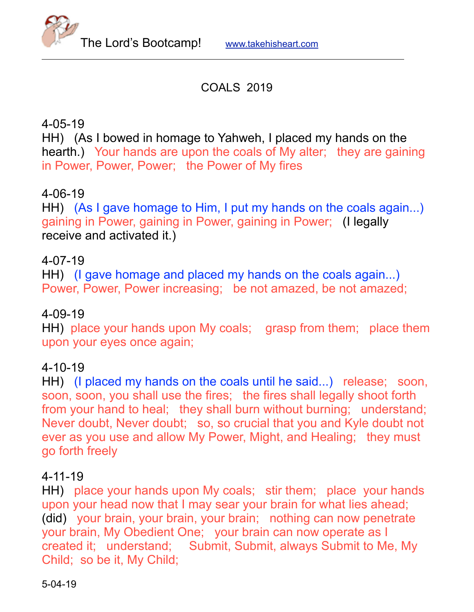

# COALS 2019

# 4-05-19

HH) (As I bowed in homage to Yahweh, I placed my hands on the hearth.) Your hands are upon the coals of My alter; they are gaining in Power, Power, Power; the Power of My fires

## 4-06-19

HH) (As I gave homage to Him, I put my hands on the coals again...) gaining in Power, gaining in Power, gaining in Power; (I legally receive and activated it.)

## 4-07-19

HH) (I gave homage and placed my hands on the coals again...) Power, Power, Power increasing; be not amazed, be not amazed;

## 4-09-19

HH) place your hands upon My coals; grasp from them; place them upon your eyes once again;

## 4-10-19

HH) (I placed my hands on the coals until he said...) release; soon, soon, soon, you shall use the fires; the fires shall legally shoot forth from your hand to heal; they shall burn without burning; understand; Never doubt, Never doubt; so, so crucial that you and Kyle doubt not ever as you use and allow My Power, Might, and Healing; they must go forth freely

## 4-11-19

HH) place your hands upon My coals; stir them; place your hands upon your head now that I may sear your brain for what lies ahead; (did) your brain, your brain, your brain; nothing can now penetrate your brain, My Obedient One; your brain can now operate as I created it; understand; Submit, Submit, always Submit to Me, My Child; so be it, My Child;

5-04-19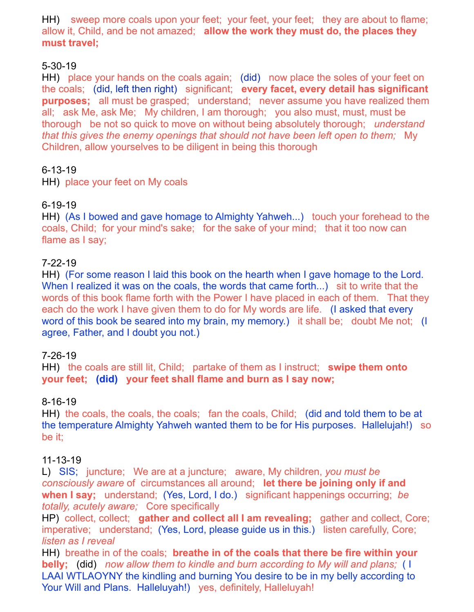HH) sweep more coals upon your feet; your feet, your feet; they are about to flame; allow it, Child, and be not amazed; **allow the work they must do, the places they must travel;** 

## 5-30-19

HH) place your hands on the coals again; (did) now place the soles of your feet on the coals; (did, left then right) significant; **every facet, every detail has significant purposes;** all must be grasped; understand; never assume you have realized them all; ask Me, ask Me; My children, I am thorough; you also must, must, must be thorough be not so quick to move on without being absolutely thorough; *understand that this gives the enemy openings that should not have been left open to them;* My Children, allow yourselves to be diligent in being this thorough

## 6-13-19

HH) place your feet on My coals

## 6-19-19

HH) (As I bowed and gave homage to Almighty Yahweh...) touch your forehead to the coals, Child; for your mind's sake; for the sake of your mind; that it too now can flame as I say;

## 7-22-19

HH) (For some reason I laid this book on the hearth when I gave homage to the Lord. When I realized it was on the coals, the words that came forth...) sit to write that the words of this book flame forth with the Power I have placed in each of them. That they each do the work I have given them to do for My words are life. (I asked that every word of this book be seared into my brain, my memory.) it shall be; doubt Me not; (I agree, Father, and I doubt you not.)

## 7-26-19

HH) the coals are still lit, Child; partake of them as I instruct; **swipe them onto your feet; (did) your feet shall flame and burn as I say now;** 

## 8-16-19

HH) the coals, the coals, the coals; fan the coals, Child; (did and told them to be at the temperature Almighty Yahweh wanted them to be for His purposes. Hallelujah!) so be it;

#### 11-13-19

L) SIS; juncture; We are at a juncture; aware, My children, *you must be consciously aware* of circumstances all around; **let there be joining only if and when I say;** understand; (Yes, Lord, I do.) significant happenings occurring; *be totally, acutely aware;* Core specifically

HP) collect, collect; **gather and collect all I am revealing;** gather and collect, Core; imperative; understand; (Yes, Lord, please guide us in this.) listen carefully, Core; *listen as I reveal*

HH) breathe in of the coals; **breathe in of the coals that there be fire within your belly;** (did) *now allow them to kindle and burn according to My will and plans;* ( I LAAI WTLAOYNY the kindling and burning You desire to be in my belly according to Your Will and Plans. Halleluyah!) yes, definitely, Halleluyah!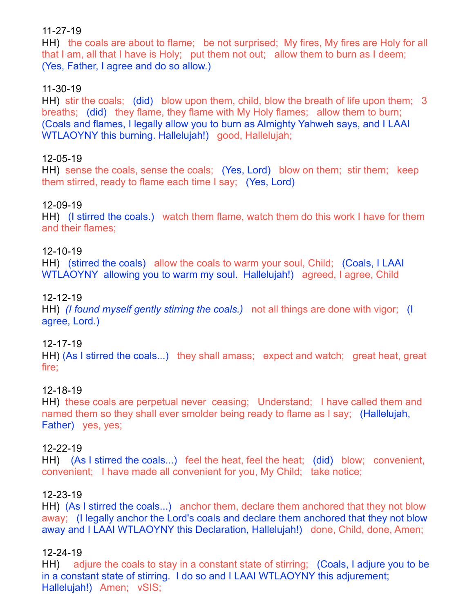### 11-27-19

HH) the coals are about to flame; be not surprised; My fires, My fires are Holy for all that I am, all that I have is Holy; put them not out; allow them to burn as I deem; (Yes, Father, I agree and do so allow.)

### 11-30-19

HH) stir the coals; (did) blow upon them, child, blow the breath of life upon them; 3 breaths; (did) they flame, they flame with My Holy flames; allow them to burn; (Coals and flames, I legally allow you to burn as Almighty Yahweh says, and I LAAI WTLAOYNY this burning. Hallelujah!) good, Hallelujah;

#### 12-05-19

HH) sense the coals, sense the coals; (Yes, Lord) blow on them; stir them; keep them stirred, ready to flame each time I say; (Yes, Lord)

#### 12-09-19

HH) (I stirred the coals.) watch them flame, watch them do this work I have for them and their flames;

#### 12-10-19

HH) (stirred the coals) allow the coals to warm your soul, Child; (Coals, I LAAI WTLAOYNY allowing you to warm my soul. Hallelujah!) agreed, I agree, Child

#### 12-12-19

HH) *(I found myself gently stirring the coals.)* not all things are done with vigor; (I agree, Lord.)

#### 12-17-19

HH) (As I stirred the coals...) they shall amass; expect and watch; great heat, great fire;

#### 12-18-19

HH) these coals are perpetual never ceasing; Understand; I have called them and named them so they shall ever smolder being ready to flame as I say; (Hallelujah, Father) yes, yes;

#### 12-22-19

HH) (As I stirred the coals...) feel the heat, feel the heat; (did) blow; convenient, convenient; I have made all convenient for you, My Child; take notice;

#### 12-23-19

HH) (As I stirred the coals...) anchor them, declare them anchored that they not blow away; (I legally anchor the Lord's coals and declare them anchored that they not blow away and I LAAI WTLAOYNY this Declaration, Hallelujah!) done, Child, done, Amen;

#### 12-24-19

HH) adjure the coals to stay in a constant state of stirring; (Coals, I adjure you to be in a constant state of stirring. I do so and I LAAI WTLAOYNY this adjurement; Hallelujah!) Amen; vSIS;